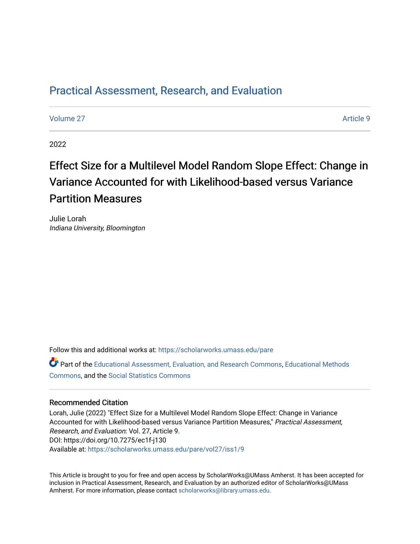## [Practical Assessment, Research, and Evaluation](https://scholarworks.umass.edu/pare)

[Volume 27](https://scholarworks.umass.edu/pare/vol27) [Article 9](https://scholarworks.umass.edu/pare/vol27/iss1/9) 

2022

# Effect Size for a Multilevel Model Random Slope Effect: Change in Variance Accounted for with Likelihood-based versus Variance Partition Measures

Julie Lorah Indiana University, Bloomington

Follow this and additional works at: [https://scholarworks.umass.edu/pare](https://scholarworks.umass.edu/pare?utm_source=scholarworks.umass.edu%2Fpare%2Fvol27%2Fiss1%2F9&utm_medium=PDF&utm_campaign=PDFCoverPages) 

Part of the [Educational Assessment, Evaluation, and Research Commons](https://network.bepress.com/hgg/discipline/796?utm_source=scholarworks.umass.edu%2Fpare%2Fvol27%2Fiss1%2F9&utm_medium=PDF&utm_campaign=PDFCoverPages), [Educational Methods](https://network.bepress.com/hgg/discipline/1227?utm_source=scholarworks.umass.edu%2Fpare%2Fvol27%2Fiss1%2F9&utm_medium=PDF&utm_campaign=PDFCoverPages)  [Commons](https://network.bepress.com/hgg/discipline/1227?utm_source=scholarworks.umass.edu%2Fpare%2Fvol27%2Fiss1%2F9&utm_medium=PDF&utm_campaign=PDFCoverPages), and the [Social Statistics Commons](https://network.bepress.com/hgg/discipline/1275?utm_source=scholarworks.umass.edu%2Fpare%2Fvol27%2Fiss1%2F9&utm_medium=PDF&utm_campaign=PDFCoverPages) 

#### Recommended Citation

Lorah, Julie (2022) "Effect Size for a Multilevel Model Random Slope Effect: Change in Variance Accounted for with Likelihood-based versus Variance Partition Measures," Practical Assessment, Research, and Evaluation: Vol. 27, Article 9. DOI: https://doi.org/10.7275/ec1f-j130 Available at: [https://scholarworks.umass.edu/pare/vol27/iss1/9](https://scholarworks.umass.edu/pare/vol27/iss1/9?utm_source=scholarworks.umass.edu%2Fpare%2Fvol27%2Fiss1%2F9&utm_medium=PDF&utm_campaign=PDFCoverPages)

This Article is brought to you for free and open access by ScholarWorks@UMass Amherst. It has been accepted for inclusion in Practical Assessment, Research, and Evaluation by an authorized editor of ScholarWorks@UMass Amherst. For more information, please contact [scholarworks@library.umass.edu](mailto:scholarworks@library.umass.edu).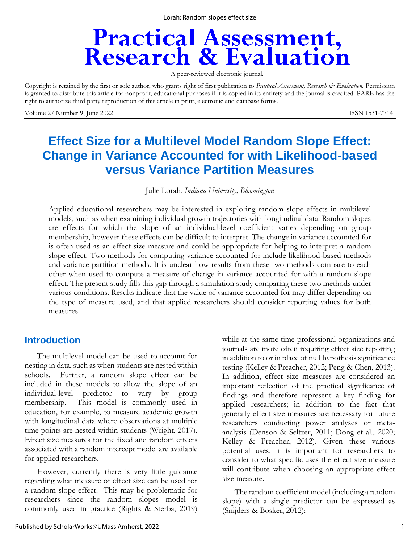Lorah: Random slopes effect size

# **Practical Assessment,<br>Research & Evaluation**

A peer-reviewed electronic journal.

Copyright is retained by the first or sole author, who grants right of first publication to *Practical Assessment, Research & Evaluation.* Permission is granted to distribute this article for nonprofit, educational purposes if it is copied in its entirety and the journal is credited. PARE has the right to authorize third party reproduction of this article in print, electronic and database forms.

Volume 27 Number 9, June 2022 ISSN 1531-7714

## **Effect Size for a Multilevel Model Random Slope Effect: Change in Variance Accounted for with Likelihood-based versus Variance Partition Measures**

Julie Lorah, *Indiana University, Bloomington*

Applied educational researchers may be interested in exploring random slope effects in multilevel models, such as when examining individual growth trajectories with longitudinal data. Random slopes are effects for which the slope of an individual-level coefficient varies depending on group membership, however these effects can be difficult to interpret. The change in variance accounted for is often used as an effect size measure and could be appropriate for helping to interpret a random slope effect. Two methods for computing variance accounted for include likelihood-based methods and variance partition methods. It is unclear how results from these two methods compare to each other when used to compute a measure of change in variance accounted for with a random slope effect. The present study fills this gap through a simulation study comparing these two methods under various conditions. Results indicate that the value of variance accounted for may differ depending on the type of measure used, and that applied researchers should consider reporting values for both measures.

## **Introduction**

The multilevel model can be used to account for nesting in data, such as when students are nested within schools. Further, a random slope effect can be included in these models to allow the slope of an individual-level predictor to vary by group membership. This model is commonly used in education, for example, to measure academic growth with longitudinal data where observations at multiple time points are nested within students (Wright, 2017). Effect size measures for the fixed and random effects associated with a random intercept model are available for applied researchers.

However, currently there is very little guidance regarding what measure of effect size can be used for a random slope effect. This may be problematic for researchers since the random slopes model is commonly used in practice (Rights & Sterba, 2019)

while at the same time professional organizations and journals are more often requiring effect size reporting in addition to or in place of null hypothesis significance testing (Kelley & Preacher, 2012; Peng & Chen, 2013). In addition, effect size measures are considered an important reflection of the practical significance of findings and therefore represent a key finding for applied researchers; in addition to the fact that generally effect size measures are necessary for future researchers conducting power analyses or metaanalysis (Denson & Seltzer, 2011; Dong et al., 2020; Kelley & Preacher, 2012). Given these various potential uses, it is important for researchers to consider to what specific uses the effect size measure will contribute when choosing an appropriate effect size measure.

The random coefficient model (including a random slope) with a single predictor can be expressed as (Snijders & Bosker, 2012):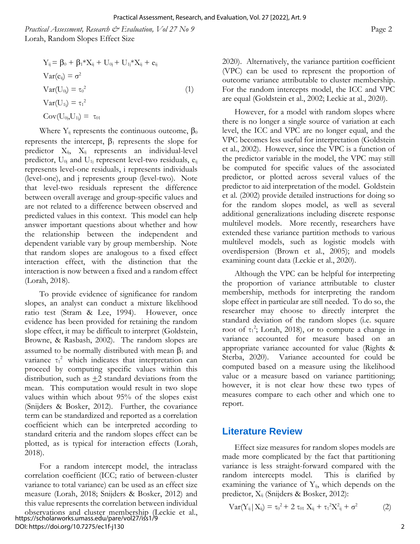*Practical Assessment, Research & Evaluation, Vol 27 No 9* Page 2 Lorah, Random Slopes Effect Size

$$
Y_{ij} = \beta_0 + \beta_1 * X_{ij} + U_{0j} + U_{1j} * X_{ij} + e_{ij}
$$
  
\n
$$
Var(e_{ij}) = \sigma^2
$$
  
\n
$$
Var(U_{0j}) = \tau_0^2
$$
  
\n
$$
Var(U_{1j}) = \tau_1^2
$$
  
\n
$$
Cov(U_{0j}, U_{1j}) = \tau_{01}
$$
\n(1)

Where  $Y_{ij}$  represents the continuous outcome,  $\beta_0$ represents the intercept,  $\beta_1$  represents the slope for predictor  $X_{ij}$ ,  $X_{ij}$  represents an individual-level predictor,  $U_{0j}$  and  $U_{1j}$  represent level-two residuals,  $e_{ij}$ represents level-one residuals, i represents individuals (level-one), and j represents group (level-two). Note that level-two residuals represent the difference between overall average and group-specific values and are not related to a difference between observed and predicted values in this context. This model can help answer important questions about whether and how the relationship between the independent and dependent variable vary by group membership. Note that random slopes are analogous to a fixed effect interaction effect, with the distinction that the interaction is now between a fixed and a random effect (Lorah, 2018).

To provide evidence of significance for random slopes, an analyst can conduct a mixture likelihood ratio test (Stram & Lee, 1994). However, once evidence has been provided for retaining the random slope effect, it may be difficult to interpret (Goldstein, Browne, & Rasbash, 2002). The random slopes are assumed to be normally distributed with mean  $\beta_1$  and variance  $\tau_1^2$  which indicates that interpretation can proceed by computing specific values within this distribution, such as  $\pm 2$  standard deviations from the mean. This computation would result in two slope values within which about 95% of the slopes exist (Snijders & Bosker, 2012). Further, the covariance term can be standardized and reported as a correlation coefficient which can be interpreted according to standard criteria and the random slopes effect can be plotted, as is typical for interaction effects (Lorah, 2018).

For a random intercept model, the intraclass correlation coefficient (ICC; ratio of between-cluster variance to total variance) can be used as an effect size measure (Lorah, 2018; Snijders & Bosker, 2012) and this value represents the correlation between individual observations and cluster membership (Leckie et al., https://scholarworks.umass.edu/pare/vol27/iss1/9 DOI: https://doi.org/10.7275/ec1f-j130

2020). Alternatively, the variance partition coefficient (VPC) can be used to represent the proportion of outcome variance attributable to cluster membership. For the random intercepts model, the ICC and VPC are equal (Goldstein et al., 2002; Leckie at al., 2020).

However, for a model with random slopes where there is no longer a single source of variation at each level, the ICC and VPC are no longer equal, and the VPC becomes less useful for interpretation (Goldstein et al., 2002). However, since the VPC is a function of the predictor variable in the model, the VPC may still be computed for specific values of the associated predictor, or plotted across several values of the predictor to aid interpretation of the model. Goldstein et al. (2002) provide detailed instructions for doing so for the random slopes model, as well as several additional generalizations including discrete response multilevel models. More recently, researchers have extended these variance partition methods to various multilevel models, such as logistic models with overdispersion (Brown et al., 2005); and models examining count data (Leckie et al., 2020).

Although the VPC can be helpful for interpreting the proportion of variance attributable to cluster membership, methods for interpreting the random slope effect in particular are still needed. To do so, the researcher may choose to directly interpret the standard deviation of the random slopes (i.e. square root of  $\tau_1^2$ ; Lorah, 2018), or to compute a change in variance accounted for measure based on an appropriate variance accounted for value (Rights & Sterba, 2020). Variance accounted for could be computed based on a measure using the likelihood value or a measure based on variance partitioning; however, it is not clear how these two types of measures compare to each other and which one to report.

## **Literature Review**

Effect size measures for random slopes models are made more complicated by the fact that partitioning variance is less straight-forward compared with the random intercepts model. This is clarified by examining the variance of  $Y_{ii}$ , which depends on the predictor,  $X_{ii}$  (Snijders & Bosker, 2012):

$$
Var(Y_{ij} | X_{ij}) = \tau_0^2 + 2 \tau_{01} X_{ij} + \tau_1^2 X_{ij}^2 + \sigma^2
$$
 (2)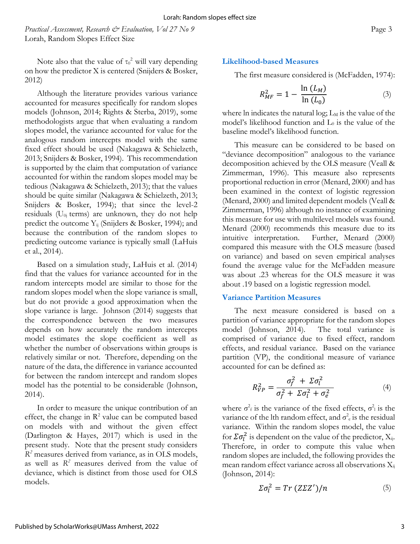*Practical Assessment, Research & Evaluation, Vol 27 No 9* Page 3 Lorah, Random Slopes Effect Size

Note also that the value of  $\tau_0^2$  will vary depending on how the predictor X is centered (Snijders & Bosker, 2012)

Although the literature provides various variance accounted for measures specifically for random slopes models (Johnson, 2014; Rights & Sterba, 2019), some methodologists argue that when evaluating a random slopes model, the variance accounted for value for the analogous random intercepts model with the same fixed effect should be used (Nakagawa & Schielzeth, 2013; Snijders & Bosker, 1994). This recommendation is supported by the claim that computation of variance accounted for within the random slopes model may be tedious (Nakagawa & Schielzeth, 2013); that the values should be quite similar (Nakagawa & Schielzeth, 2013; Snijders & Bosker, 1994); that since the level-2 residuals ( $U_{0i}$  terms) are unknown, they do not help predict the outcome  $Y_{ii}$  (Snijders & Bosker, 1994); and because the contribution of the random slopes to predicting outcome variance is typically small (LaHuis et al., 2014).

Based on a simulation study, LaHuis et al. (2014) find that the values for variance accounted for in the random intercepts model are similar to those for the random slopes model when the slope variance is small, but do not provide a good approximation when the slope variance is large. Johnson (2014) suggests that the correspondence between the two measures depends on how accurately the random intercepts model estimates the slope coefficient as well as whether the number of observations within groups is relatively similar or not. Therefore, depending on the nature of the data, the difference in variance accounted for between the random intercept and random slopes model has the potential to be considerable (Johnson, 2014).

In order to measure the unique contribution of an effect, the change in  $\mathbb{R}^2$  value can be computed based on models with and without the given effect (Darlington & Hayes, 2017) which is used in the present study. Note that the present study considers *R <sup>2</sup>* measures derived from variance, as in OLS models, as well as  $R^2$  measures derived from the value of deviance, which is distinct from those used for OLS models.

## **Likelihood-based Measures**

The first measure considered is (McFadden, 1974):

$$
R_{MF}^2 = 1 - \frac{\ln(L_M)}{\ln(L_0)}
$$
 (3)

where ln indicates the natural log;  $L_M$  is the value of the model's likelihood function and  $L_0$  is the value of the baseline model's likelihood function.

This measure can be considered to be based on "deviance decomposition" analogous to the variance decomposition achieved by the OLS measure (Veall & Zimmerman, 1996). This measure also represents proportional reduction in error (Menard, 2000) and has been examined in the context of logistic regression (Menard, 2000) and limited dependent models (Veall & Zimmerman, 1996) although no instance of examining this measure for use with multilevel models was found. Menard (2000) recommends this measure due to its intuitive interpretation. Further, Menard (2000) compared this measure with the OLS measure (based on variance) and based on seven empirical analyses found the average value for the McFadden measure was about .23 whereas for the OLS measure it was about .19 based on a logistic regression model.

#### **Variance Partition Measures**

The next measure considered is based on a partition of variance appropriate for the random slopes model (Johnson, 2014). The total variance is comprised of variance due to fixed effect, random effects, and residual variance. Based on the variance partition (VP), the conditional measure of variance accounted for can be defined as:

$$
R_{VP}^2 = \frac{\sigma_f^2 + \Sigma \sigma_l^2}{\sigma_f^2 + \Sigma \sigma_l^2 + \sigma_e^2}
$$
 (4)

where  $\sigma^2_f$  is the variance of the fixed effects,  $\sigma^2_i$  is the variance of the lth random effect, and  $\sigma_e^2$  is the residual variance. Within the random slopes model, the value for  $\Sigma \sigma_l^2$  is dependent on the value of the predictor,  $X_{ij}$ . Therefore, in order to compute this value when random slopes are included, the following provides the mean random effect variance across all observations  $X_{ij}$ (Johnson, 2014):

$$
\Sigma \sigma_l^2 = Tr (Z \Sigma Z') / n \tag{5}
$$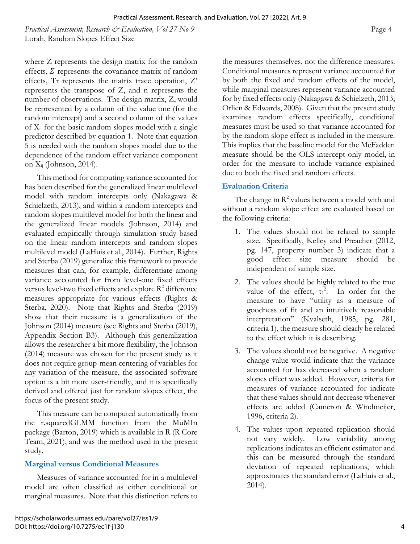*Practical Assessment, Research & Evaluation, Vol 27 No 9* Page 4 Lorah, Random Slopes Effect Size

where Z represents the design matrix for the random effects,  $\Sigma$  represents the covariance matrix of random effects, Tr represents the matrix trace operation, Z' represents the transpose of Z, and n represents the number of observations. The design matrix, Z, would be represented by a column of the value one (for the random intercept) and a second column of the values of  $X_{ij}$  for the basic random slopes model with a single predictor described by equation 1. Note that equation 5 is needed with the random slopes model due to the dependence of the random effect variance component on  $X_{ij}$  (Johnson, 2014).

This method for computing variance accounted for has been described for the generalized linear multilevel model with random intercepts only (Nakagawa & Schielzeth, 2013), and within a random intercepts and random slopes multilevel model for both the linear and the generalized linear models (Johnson, 2014) and evaluated empirically through simulation study based on the linear random intercepts and random slopes multilevel model (LaHuis et al., 2014). Further, Rights and Sterba (2019) generalize this framework to provide measures that can, for example, differentiate among variance accounted for from level-one fixed effects versus level-two fixed effects and explore  $R^2$  difference measures appropriate for various effects (Rights & Sterba, 2020). Note that Rights and Sterba (2019) show that their measure is a generalization of the Johnson (2014) measure (see Rights and Sterba (2019), Appendix Section B3). Although this generalization allows the researcher a bit more flexibility, the Johnson (2014) measure was chosen for the present study as it does not require group-mean centering of variables for any variation of the measure, the associated software option is a bit more user-friendly, and it is specifically derived and offered just for random slopes effect, the focus of the present study.

This measure can be computed automatically from the r.squaredGLMM function from the MuMIn package (Barton, 2019) which is available in R (R Core Team, 2021), and was the method used in the present study.

## **Marginal versus Conditional Measures**

Measures of variance accounted for in a multilevel model are often classified as either conditional or marginal measures. Note that this distinction refers to the measures themselves, not the difference measures. Conditional measures represent variance accounted for by both the fixed and random effects of the model, while marginal measures represent variance accounted for by fixed effects only (Nakagawa & Schielzeth, 2013; Orlien & Edwards, 2008). Given that the present study examines random effects specifically, conditional measures must be used so that variance accounted for by the random slope effect is included in the measure. This implies that the baseline model for the McFadden measure should be the OLS intercept-only model, in order for the measure to include variance explained due to both the fixed and random effects.

## **Evaluation Criteria**

The change in  $R^2$  values between a model with and without a random slope effect are evaluated based on the following criteria:

- 1. The values should not be related to sample size. Specifically, Kelley and Preacher (2012, pg. 147, property number 3) indicate that a good effect size measure should be independent of sample size.
- 2. The values should be highly related to the true value of the effect,  $\tau_1^2$ . In order for the measure to have "utility as a measure of goodness of fit and an intuitively reasonable interpretation" (Kvalseth, 1985, pg. 281, criteria 1), the measure should clearly be related to the effect which it is describing.
- 3. The values should not be negative. A negative change value would indicate that the variance accounted for has decreased when a random slopes effect was added. However, criteria for measures of variance accounted for indicate that these values should not decrease whenever effects are added (Cameron & Windmeijer, 1996, criteria 2).
- 4. The values upon repeated replication should not vary widely. Low variability among replications indicates an efficient estimator and this can be measured through the standard deviation of repeated replications, which approximates the standard error (LaHuis et al., 2014).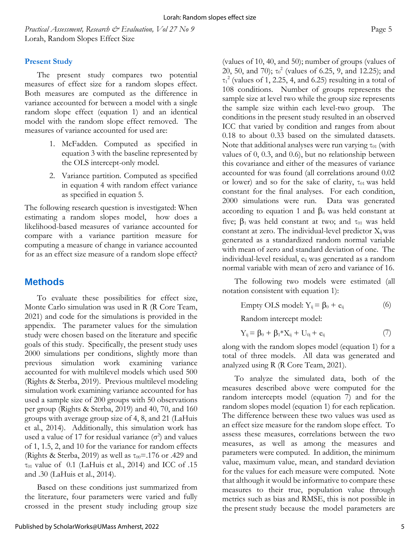Based on these conditions just summarized from the literature, four parameters were varied and fully crossed in the present study including group size

*Practical Assessment, Research & Evaluation, Vol 27 No 9* Page 5 Lorah, Random Slopes Effect Size

## **Present Study**

The present study compares two potential measures of effect size for a random slopes effect. Both measures are computed as the difference in variance accounted for between a model with a single random slope effect (equation 1) and an identical model with the random slope effect removed. The measures of variance accounted for used are:

- 1. McFadden. Computed as specified in equation 3 with the baseline represented by the OLS intercept-only model.
- 2. Variance partition. Computed as specified in equation 4 with random effect variance as specified in equation 5.

The following research question is investigated: When estimating a random slopes model, how does a likelihood-based measures of variance accounted for compare with a variance partition measure for computing a measure of change in variance accounted for as an effect size measure of a random slope effect?

## **Methods**

To evaluate these possibilities for effect size, Monte Carlo simulation was used in R (R Core Team, 2021) and code for the simulations is provided in the appendix. The parameter values for the simulation study were chosen based on the literature and specific goals of this study. Specifically, the present study uses 2000 simulations per conditions, slightly more than previous simulation work examining variance accounted for with multilevel models which used 500 (Rights & Sterba, 2019). Previous multilevel modeling simulation work examining variance accounted for has used a sample size of 200 groups with 50 observations per group (Rights & Sterba, 2019) and 40, 70, and 160 groups with average group size of 4, 8, and 21 (LaHuis et al., 2014). Additionally, this simulation work has used a value of 17 for residual variance  $(\sigma^2)$  and values of 1, 1.5, 2, and 10 for the variance for random effects (Rights & Sterba, 2019) as well as  $\tau_{00} = .176$  or .429 and τ<sub>01</sub> value of 0.1 (LaHuis et al., 2014) and ICC of .15 and .30 (LaHuis et al., 2014).

(values of 10, 40, and 50); number of groups (values of 20, 50, and 70);  $\tau_0^2$  (values of 6.25, 9, and 12.25); and  $\tau_1^2$  (values of 1, 2.25, 4, and 6.25) resulting in a total of 108 conditions. Number of groups represents the sample size at level two while the group size represents the sample size within each level-two group. The conditions in the present study resulted in an observed ICC that varied by condition and ranges from about 0.18 to about 0.33 based on the simulated datasets. Note that additional analyses were run varying  $\tau_{01}$  (with values of 0, 0.3, and 0.6), but no relationship between this covariance and either of the measures of variance accounted for was found (all correlations around 0.02 or lower) and so for the sake of clarity,  $\tau_{01}$  was held constant for the final analyses. For each condition, 2000 simulations were run. Data was generated according to equation 1 and  $\beta_0$  was held constant at five;  $β_1$  was held constant at two; and τ<sub>01</sub> was held constant at zero. The individual-level predictor  $X_{ii}$  was generated as a standardized random normal variable with mean of zero and standard deviation of one. The individual-level residual,  $e_{ij}$  was generated as a random normal variable with mean of zero and variance of 16.

The following two models were estimated (all notation consistent with equation 1):

Empty OLS model:  $Y_{ij} = \beta_0 + e_{ij}$  (6)

Random intercept model:

$$
Y_{ij} = \beta_0 + \beta_1 * X_{ij} + U_{0j} + e_{ij}
$$
 (7)

along with the random slopes model (equation 1) for a total of three models. All data was generated and analyzed using R (R Core Team, 2021).

To analyze the simulated data, both of the measures described above were computed for the random intercepts model (equation 7) and for the random slopes model (equation 1) for each replication. The difference between these two values was used as an effect size measure for the random slope effect. To assess these measures, correlations between the two measures, as well as among the measures and parameters were computed. In addition, the minimum value, maximum value, mean, and standard deviation for the values for each measure were computed. Note that although it would be informative to compare these measures to their true, population value through metrics such as bias and RMSE, this is not possible in the present study because the model parameters are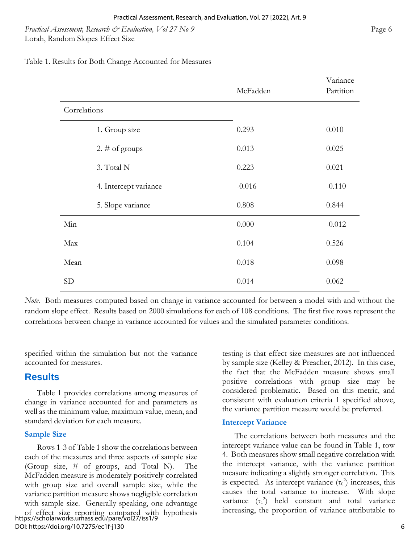*Practical Assessment, Research & Evaluation, Vol 27 No 9* Page 6 Lorah, Random Slopes Effect Size

Table 1. Results for Both Change Accounted for Measures

|              |                       | McFadden | Variance<br>Partition |
|--------------|-----------------------|----------|-----------------------|
| Correlations |                       |          |                       |
|              | 1. Group size         | 0.293    | 0.010                 |
|              | 2. $\#$ of groups     | 0.013    | 0.025                 |
|              | 3. Total N            | 0.223    | 0.021                 |
|              | 4. Intercept variance | $-0.016$ | $-0.110$              |
|              | 5. Slope variance     | 0.808    | 0.844                 |
| Min          |                       | 0.000    | $-0.012$              |
| Max          |                       | 0.104    | 0.526                 |
| Mean         |                       | 0.018    | 0.098                 |
| <b>SD</b>    |                       | 0.014    | 0.062                 |

*Note*. Both measures computed based on change in variance accounted for between a model with and without the random slope effect. Results based on 2000 simulations for each of 108 conditions. The first five rows represent the correlations between change in variance accounted for values and the simulated parameter conditions.

specified within the simulation but not the variance accounted for measures.

## **Results**

Table 1 provides correlations among measures of change in variance accounted for and parameters as well as the minimum value, maximum value, mean, and standard deviation for each measure.

## **Sample Size**

Rows 1-3 of Table 1 show the correlations between each of the measures and three aspects of sample size (Group size, # of groups, and Total N). The McFadden measure is moderately positively correlated with group size and overall sample size, while the variance partition measure shows negligible correlation with sample size. Generally speaking, one advantage of effect size reporting compared with hypothesis https://scholarworks.umass.edu/pare/vol27/iss1/9 DOI: https://doi.org/10.7275/ec1f-j130

testing is that effect size measures are not influenced by sample size (Kelley & Preacher, 2012). In this case, the fact that the McFadden measure shows small positive correlations with group size may be considered problematic. Based on this metric, and consistent with evaluation criteria 1 specified above, the variance partition measure would be preferred.

### **Intercept Variance**

The correlations between both measures and the intercept variance value can be found in Table 1, row 4. Both measures show small negative correlation with the intercept variance, with the variance partition measure indicating a slightly stronger correlation. This is expected. As intercept variance  $(\tau_0^2)$  increases, this causes the total variance to increase. With slope variance  $(\tau_1^2)$  held constant and total variance increasing, the proportion of variance attributable to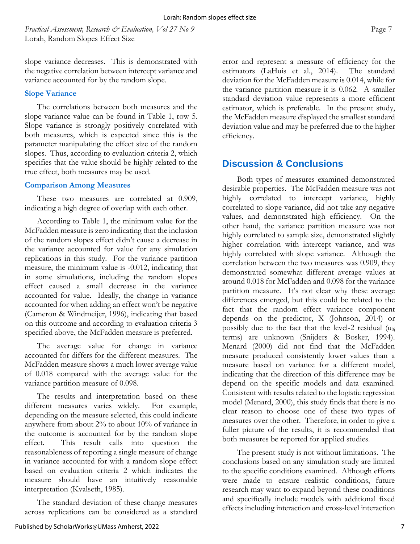*Practical Assessment, Research & Evaluation, Vol 27 No 9* Page 7 Lorah, Random Slopes Effect Size

slope variance decreases. This is demonstrated with the negative correlation between intercept variance and variance accounted for by the random slope.

#### **Slope Variance**

The correlations between both measures and the slope variance value can be found in Table 1, row 5. Slope variance is strongly positively correlated with both measures, which is expected since this is the parameter manipulating the effect size of the random slopes. Thus, according to evaluation criteria 2, which specifies that the value should be highly related to the true effect, both measures may be used.

#### **Comparison Among Measures**

These two measures are correlated at 0.909, indicating a high degree of overlap with each other.

According to Table 1, the minimum value for the McFadden measure is zero indicating that the inclusion of the random slopes effect didn't cause a decrease in the variance accounted for value for any simulation replications in this study. For the variance partition measure, the minimum value is -0.012, indicating that in some simulations, including the random slopes effect caused a small decrease in the variance accounted for value. Ideally, the change in variance accounted for when adding an effect won't be negative (Cameron & Windmeijer, 1996), indicating that based on this outcome and according to evaluation criteria 3 specified above, the McFadden measure is preferred.

The average value for change in variance accounted for differs for the different measures. The McFadden measure shows a much lower average value of 0.018 compared with the average value for the variance partition measure of 0.098.

The results and interpretation based on these different measures varies widely. For example, depending on the measure selected, this could indicate anywhere from about 2% to about 10% of variance in the outcome is accounted for by the random slope effect. This result calls into question the reasonableness of reporting a single measure of change in variance accounted for with a random slope effect based on evaluation criteria 2 which indicates the measure should have an intuitively reasonable interpretation (Kvalseth, 1985).

The standard deviation of these change measures across replications can be considered as a standard

Published by ScholarWorks@UMass Amherst, 2022

error and represent a measure of efficiency for the estimators (LaHuis et al., 2014). The standard deviation for the McFadden measure is 0.014, while for the variance partition measure it is 0.062. A smaller standard deviation value represents a more efficient estimator, which is preferable. In the present study, the McFadden measure displayed the smallest standard deviation value and may be preferred due to the higher efficiency.

## **Discussion & Conclusions**

Both types of measures examined demonstrated desirable properties. The McFadden measure was not highly correlated to intercept variance, highly correlated to slope variance, did not take any negative values, and demonstrated high efficiency. On the other hand, the variance partition measure was not highly correlated to sample size, demonstrated slightly higher correlation with intercept variance, and was highly correlated with slope variance.Although the correlation between the two measures was 0.909, they demonstrated somewhat different average values at around 0.018 for McFadden and 0.098 for the variance partition measure. It's not clear why these average differences emerged, but this could be related to the fact that the random effect variance component depends on the predictor, X (Johnson, 2014) or possibly due to the fact that the level-2 residual  $(u_{0i})$ terms) are unknown (Snijders & Bosker, 1994). Menard (2000) did not find that the McFadden measure produced consistently lower values than a measure based on variance for a different model, indicating that the direction of this difference may be depend on the specific models and data examined. Consistent with results related to the logistic regression model (Menard, 2000), this study finds that there is no clear reason to choose one of these two types of measures over the other. Therefore, in order to give a fuller picture of the results, it is recommended that both measures be reported for applied studies.

The present study is not without limitations. The conclusions based on any simulation study are limited to the specific conditions examined. Although efforts were made to ensure realistic conditions, future research may want to expand beyond these conditions and specifically include models with additional fixed effects including interaction and cross-level interaction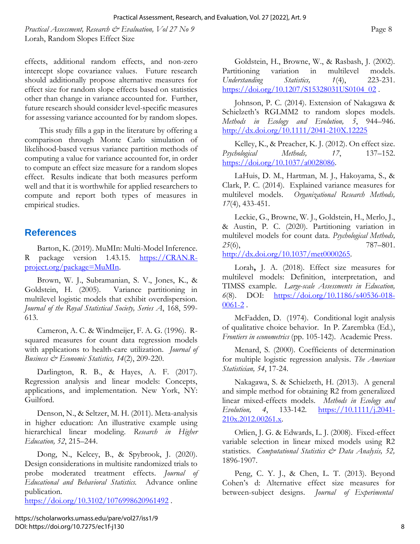*Practical Assessment, Research & Evaluation, Vol 27 No 9* Page 8 Lorah, Random Slopes Effect Size

effects, additional random effects, and non-zero intercept slope covariance values. Future research should additionally propose alternative measures for effect size for random slope effects based on statistics other than change in variance accounted for. Further, future research should consider level-specific measures for assessing variance accounted for by random slopes.

This study fills a gap in the literature by offering a comparison through Monte Carlo simulation of likelihood-based versus variance partition methods of computing a value for variance accounted for, in order to compute an effect size measure for a random slopes effect. Results indicate that both measures perform well and that it is worthwhile for applied researchers to compute and report both types of measures in empirical studies.

## **References**

Barton, K. (2019). MuMIn: Multi-Model Inference. R package version 1.43.15. [https://CRAN.R](https://cran.r-project.org/package=MuMIn)[project.org/package=MuMIn.](https://cran.r-project.org/package=MuMIn)

Brown, W. J., Subramanian, S. V., Jones, K., & Goldstein, H. (2005). Variance partitioning in multilevel logistic models that exhibit overdispersion. *Journal of the Royal Statistical Society, Series A*, 168, 599- 613.

Cameron, A. C. & Windmeijer, F. A. G. (1996). Rsquared measures for count data regression models with applications to health-care utilization. *Journal of Business & Economic Statistics, 14*(2), 209-220.

Darlington, R. B., & Hayes, A. F. (2017). Regression analysis and linear models: Concepts, applications, and implementation. New York, NY: Guilford.

Denson, N., & Seltzer, M. H. (2011). Meta-analysis in higher education: An illustrative example using hierarchical linear modeling. *Research in Higher Education, 52*, 215–244.

Dong, N., Kelcey, B., & Spybrook, J. (2020). Design considerations in multisite randomized trials to probe moderated treatment effects. *Journal of Educational and Behavioral Statistics.* Advance online publication.

<https://doi.org/10.3102/1076998620961492>.

Goldstein, H., Browne, W., & Rasbash, J. (2002). Partitioning variation in multilevel models. *Understanding Statistics, 1*(4), 223-231. [https://doi.org/10.1207/S15328031US0104\\_02](https://doi.org/10.1207/S15328031US0104_02).

Johnson, P. C. (2014). Extension of Nakagawa & Schielzeth's RGLMM2 to random slopes models. *Methods in Ecology and Evolution, 5*, 944–946. <http://dx.doi.org/10.1111/2041-210X.12225>

Kelley, K., & Preacher, K. J. (2012). On effect size. *Psychological Methods, 17*, 137–152. [https://doi.org/10.1037/a0028086.](https://doi.org/10.1037/a0028086)

LaHuis, D. M., Hartman, M. J., Hakoyama, S., & Clark, P. C. (2014). Explained variance measures for multilevel models. *Organizational Research Methods, 17*(4), 433-451.

Leckie, G., Browne, W. J., Goldstein, H., Merlo, J., & Austin, P. C. (2020). Partitioning variation in multilevel models for count data. *Psychological Methods,*  25(6), 787–801. [http://dx.doi.org/10.1037/met0000265.](http://dx.doi.org/10.1037/met0000265)

Lorah**,** J. A. (2018). Effect size measures for multilevel models: Definition, interpretation, and TIMSS example. *Large-scale Assessments in Education, 6*(8). DOI: [https://doi.org/10.1186/s40536-018-](https://doi.org/10.1186/s40536-018-0061-2)  $0061-2$ .

McFadden, D. (1974). Conditional logit analysis of qualitative choice behavior. In P. Zarembka (Ed.), *Frontiers in econometrics* (pp. 105-142). Academic Press.

Menard, S. (2000). Coefficients of determination for multiple logistic regression analysis. *The American Statistician, 54*, 17-24.

Nakagawa, S. & Schielzeth, H. (2013). A general and simple method for obtaining R2 from generalized linear mixed-effects models. *Methods in Ecology and Evolution, 4*, 133-142. [https://10.1111/j.2041-](https://10.0.4.87/j.2041-210x.2012.00261.x) [210x.2012.00261.x.](https://10.0.4.87/j.2041-210x.2012.00261.x)

Orlien, J. G. & Edwards, L. J. (2008). Fixed-effect variable selection in linear mixed models using R2 statistics. *Computational Statistics & Data Analysis, 52,* 1896-1907.

Peng, C. Y. J., & Chen, L. T. (2013). Beyond Cohen's d: Alternative effect size measures for between-subject designs. *Journal of Experimental*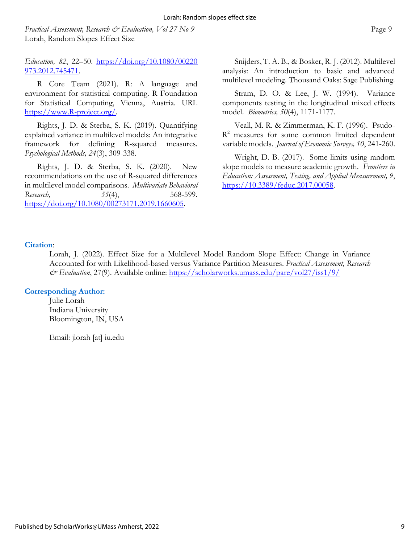*Practical Assessment, Research & Evaluation, Vol 27 No 9* Page 9 Lorah, Random Slopes Effect Size

*Education, 82*, 22–50. [https://doi.org/10.1080/00220](https://doi.org/10.1080/00220%20973.2012.745471)  [973.2012.745471.](https://doi.org/10.1080/00220%20973.2012.745471)

R Core Team (2021). R: A language and environment for statistical computing. R Foundation for Statistical Computing, Vienna, Austria. URL [https://www.R-project.org/.](https://www.r-project.org/)

Rights, J. D. & Sterba, S. K. (2019). Quantifying explained variance in multilevel models: An integrative framework for defining R-squared measures. *Psychological Methods, 24*(3), 309-338.

Rights, J. D. & Sterba, S. K. (2020). New recommendations on the use of R-squared differences in multilevel model comparisons. *Multivariate Behavioral Research,* 55(4), 568-599. [https://doi.org/10.1080/00273171.2019.1660605.](https://doi.org/10.1080/00273171.2019.1660605)

Snijders, T. A. B., & Bosker, R. J. (2012). Multilevel analysis: An introduction to basic and advanced multilevel modeling. Thousand Oaks: Sage Publishing.

Stram, D. O. & Lee, J. W. (1994). Variance components testing in the longitudinal mixed effects model. *Biometrics, 50*(4), 1171-1177.

Veall, M. R. & Zimmerman, K. F. (1996). Psudo- $R<sup>2</sup>$  measures for some common limited dependent variable models. *Journal of Economic Surveys, 10*, 241-260.

Wright, D. B. (2017). Some limits using random slope models to measure academic growth. *Frontiers in Education: Assessment, Testing, and Applied Measurement, 9*, [https://10.3389/feduc.2017.00058.](https://10.0.13.61/feduc.2017.00058)

## **Citation**:

Lorah, J. (2022). Effect Size for a Multilevel Model Random Slope Effect: Change in Variance Accounted for with Likelihood-based versus Variance Partition Measures. *Practical Assessment, Research & Evaluation*, 27(9). Available online:<https://scholarworks.umass.edu/pare/vol27/iss1/9/>

### **Corresponding Author:**

Julie Lorah Indiana University Bloomington, IN, USA

Email: jlorah [at] iu.edu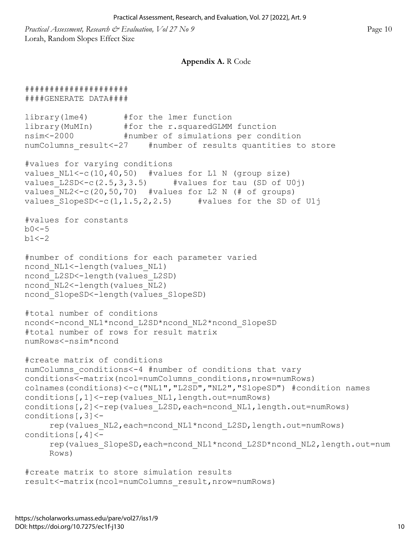*Practical Assessment, Research & Evaluation, Vol 27 No 9* Page 10 Lorah, Random Slopes Effect Size

#### **Appendix A.** R Code

```
#####################
####GENERATE DATA####
library(lme4) #for the lmer function
library(MuMIn) #for the r.squaredGLMM function
nsim<-2000 #number of simulations per condition
numColumns result<-27 #number of results quantities to store
#values for varying conditions
values NL1<-c(10,40,50) #values for L1 N (group size)
values L2SD<-c(2.5,3,3.5) #values for tau (SD of U0j)
values_NL2<-c(20,50,70) #values for L2 N (# of groups) 
values SlopeSD<-c(1,1.5,2,2.5) #values for the SD of U1j
#values for constants
b0 < -5b1<-2#number of conditions for each parameter varied
ncond NL1<-length(values NL1)
ncond L2SD<-length(values L2SD)
ncond_NL2<-length(values_NL2) 
ncond_SlopeSD<-length(values_SlopeSD)
#total number of conditions
ncond<-ncond_NL1*ncond_L2SD*ncond_NL2*ncond_SlopeSD
#total number of rows for result matrix
numRows<-nsim*ncond
#create matrix of conditions 
numColumns_conditions<-4 #number of conditions that vary
conditions<-matrix(ncol=numColumns_conditions,nrow=numRows)
colnames(conditions)<-c("NL1","L2SD","NL2","SlopeSD") #condition names 
conditions[,1]<-rep(values_NL1,length.out=numRows)
conditions[,2]<-rep(values L2SD,each=ncond NL1,length.out=numRows)
conditions[,3]<-
     rep(values_NL2,each=ncond_NL1*ncond_L2SD,length.out=numRows)
conditions [, 4] <-
     rep(values_SlopeSD,each=ncond_NL1*ncond_L2SD*ncond_NL2,length.out=num
     Rows)
#create matrix to store simulation results
result<-matrix(ncol=numColumns_result,nrow=numRows)
```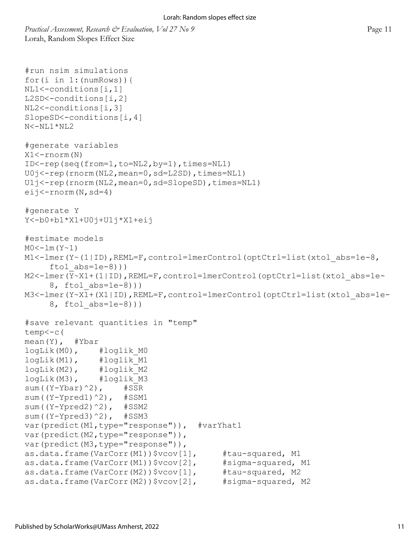*Practical Assessment, Research & Evaluation, Vol 27 No 9* Page 11 Lorah, Random Slopes Effect Size

```
#run nsim simulations
for(i in 1:(numRows)){
NL1<-conditions[i,1]
L2SD<-conditions[i,2]
NL2<-conditions[i,3]
SlopeSD<-conditions[i,4]
N<-NL1*NL2
#generate variables
X1<-rnorm(N)
ID<-rep(seq(from=1,to=NL2,by=1),times=NL1)
U0j<-rep(rnorm(NL2,mean=0,sd=L2SD),times=NL1)
U1j<-rep(rnorm(NL2,mean=0,sd=SlopeSD),times=NL1)
eij<-rnorm(N,sd=4)
#generate Y
Y<-b0+b1*X1+U0j+U1j*X1+eij
#estimate models
MO < -1m(Y~ 1)M1<-lmer(Y~(1|ID), REML=F, control=lmerControl(optCtrl=list(xtol abs=1e-8,
     ftol abs=1e-8)))
M2<-lmer(Y~X1+(1|ID), REML=F,control=lmerControl(optCtrl=list(xtol abs=1e-
     8, ftol abs=1e-8)))
M3<-lmer(Y~X1+(X1|ID),REML=F,control=lmerControl(optCtrl=list(xtol_abs=1e-
     8, ftol_abs=1e-8)))
#save relevant quantities in "temp" 
temp<-c(
mean(Y), #Ybar 
logLik(M0), #loglik_M0
logLik(M1), #loglik_M1
logLik(M2), #loglik_M2
logLik(M3), #loglik_M3
sum((Y-Ybar)^2), #SSR
sum((Y-Ypred1)^2), #SSM1
sum((Y-Ypred2)^2), #SSM2
sum((Y-Ypred3)^2), #SSM3
var(predict(M1,type="response")), #varYhat1
var(predict(M2, type="response")),
var(predict(M3, type="response")),
as.data.frame(VarCorr(M1))$vcov[1], #tau-squared, M1
as.data.frame(VarCorr(M1))$vcov[2], #sigma-squared, M1
as.data.frame(VarCorr(M2))$vcov[1], #tau-squared, M2
as.data.frame(VarCorr(M2))$vcov[2], #sigma-squared, M2
```